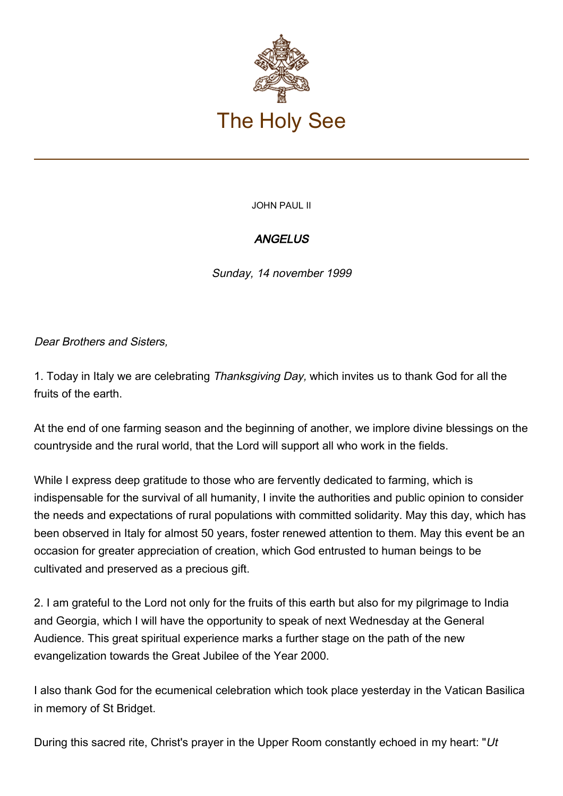

JOHN PAUL II

## **ANGELUS**

Sunday, 14 november 1999

Dear Brothers and Sisters,

1. Today in Italy we are celebrating Thanksgiving Day, which invites us to thank God for all the fruits of the earth.

At the end of one farming season and the beginning of another, we implore divine blessings on the countryside and the rural world, that the Lord will support all who work in the fields.

While I express deep gratitude to those who are fervently dedicated to farming, which is indispensable for the survival of all humanity, I invite the authorities and public opinion to consider the needs and expectations of rural populations with committed solidarity. May this day, which has been observed in Italy for almost 50 years, foster renewed attention to them. May this event be an occasion for greater appreciation of creation, which God entrusted to human beings to be cultivated and preserved as a precious gift.

2. I am grateful to the Lord not only for the fruits of this earth but also for my pilgrimage to India and Georgia, which I will have the opportunity to speak of next Wednesday at the General Audience. This great spiritual experience marks a further stage on the path of the new evangelization towards the Great Jubilee of the Year 2000.

I also thank God for the ecumenical celebration which took place yesterday in the Vatican Basilica in memory of St Bridget.

During this sacred rite, Christ's prayer in the Upper Room constantly echoed in my heart: "Ut